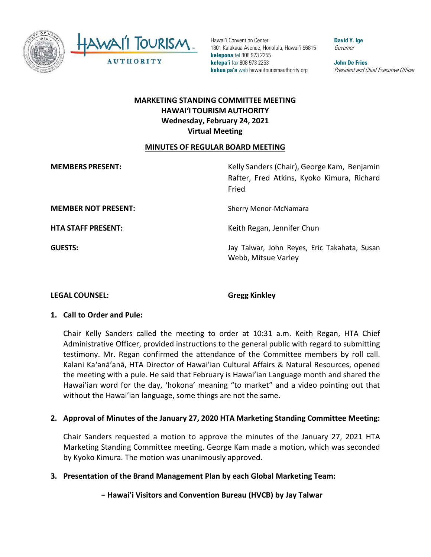

TOURISM AWAII **AUTHORITY** 

 **kelepona** tel 808 973 2255 **kelepa'i** fax 808 973 2253 **John De Fries**  Hawai'i Convention Center **David Y. Ige Convention Center** 1801 Kalākaua Avenue, Honolulu, Hawai'i 96815 Governor **kahua pa'a** web [hawaiitourismauthority.org](https://hawaiitourismauthority.org) *President and Chief Executive Officer* 

# **HAWAI'I TOURISM AUTHORITY MARKETING STANDING COMMITTEE MEETING Wednesday, February 24, 2021 Virtual Meeting**

### **MINUTES OF REGULAR BOARD MEETING**

**MEMBERS PRESENT:** 

 Rafter, Fred Atkins, Kyoko Kimura, Richard **MEMBERS PRESENT:** Kelly Sanders (Chair), George Kam, Benjamin Fried

**HTA STAFF PRESENT:** 

**MEMBER NOT PRESENT:** Sherry Menor-McNamara

Keith Regan, Jennifer Chun

 **GUESTS:** Jay Talwar, John Reyes, Eric Takahata, Susan Webb, Mitsue Varley

## **LEGAL COUNSEL: Gregg Kinkley**

## **1. Call to Order and Pule:**

 Administrative Officer, provided instructions to the general public with regard to submitting testimony. Mr. Regan confirmed the attendance of the Committee members by roll call. the meeting with a pule. He said that February is Hawai'ian Language month and shared the Hawai'ian word for the day, 'hokona' meaning "to market" and a video pointing out that without the Hawai'ian language, some things are not the same. Chair Kelly Sanders called the meeting to order at 10:31 a.m. Keith Regan, HTA Chief Kalani Ka'anā'anā, HTA Director of Hawai'ian Cultural Affairs & Natural Resources, opened

## **2. Approval of Minutes of the January 27, 2020 HTA Marketing Standing Committee Meeting:**

Chair Sanders requested a motion to approve the minutes of the January 27, 2021 HTA Marketing Standing Committee meeting. George Kam made a motion, which was seconded by Kyoko Kimura. The motion was unanimously approved.

# **3. Presentation of the Brand Management Plan by each Global Marketing Team:**

**− Hawai'i Visitors and Convention Bureau (HVCB) by Jay Talwar**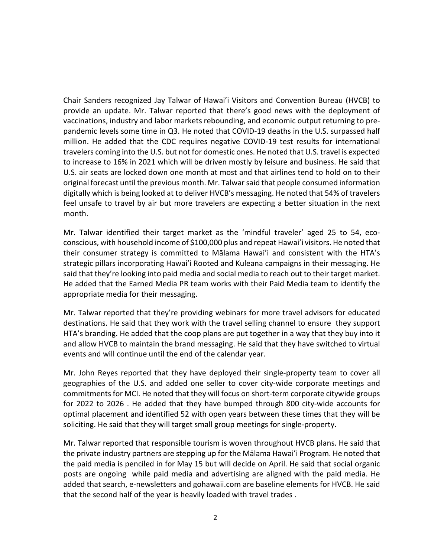provide an update. Mr. Talwar reported that there's good news with the deployment of vaccinations, industry and labor markets rebounding, and economic output returning to pre- pandemic levels some time in Q3. He noted that COVID-19 deaths in the U.S. surpassed half million. He added that the CDC requires negative COVID-19 test results for international U.S. air seats are locked down one month at most and that airlines tend to hold on to their original forecast until the previous month. Mr. Talwar said that people consumed information feel unsafe to travel by air but more travelers are expecting a better situation in the next Chair Sanders recognized Jay Talwar of Hawai'i Visitors and Convention Bureau (HVCB) to travelers coming into the U.S. but not for domestic ones. He noted that U.S. travel is expected to increase to 16% in 2021 which will be driven mostly by leisure and business. He said that digitally which is being looked at to deliver HVCB's messaging. He noted that 54% of travelers month.

 their consumer strategy is committed to Mālama Hawai'i and consistent with the HTA's He added that the Earned Media PR team works with their Paid Media team to identify the Mr. Talwar identified their target market as the 'mindful traveler' aged 25 to 54, ecoconscious, with household income of \$100,000 plus and repeat Hawai'i visitors. He noted that strategic pillars incorporating Hawai'i Rooted and Kuleana campaigns in their messaging. He said that they're looking into paid media and social media to reach out to their target market. appropriate media for their messaging.

 and allow HVCB to maintain the brand messaging. He said that they have switched to virtual events and will continue until the end of the calendar year. Mr. Talwar reported that they're providing webinars for more travel advisors for educated destinations. He said that they work with the travel selling channel to ensure they support HTA's branding. He added that the coop plans are put together in a way that they buy into it

 commitments for MCI. He noted that they will focus on short-term corporate citywide groups for 2022 to 2026 . He added that they have bumped through 800 city-wide accounts for optimal placement and identified 52 with open years between these times that they will be soliciting. He said that they will target small group meetings for single-property. Mr. John Reyes reported that they have deployed their single-property team to cover all geographies of the U.S. and added one seller to cover city-wide corporate meetings and

 the private industry partners are stepping up for the Mālama Hawai'i Program. He noted that the paid media is penciled in for May 15 but will decide on April. He said that social organic posts are ongoing while paid media and advertising are aligned with the paid media. He Mr. Talwar reported that responsible tourism is woven throughout HVCB plans. He said that added that search, e-newsletters and [gohawaii.com](https://gohawaii.com) are baseline elements for HVCB. He said that the second half of the year is heavily loaded with travel trades .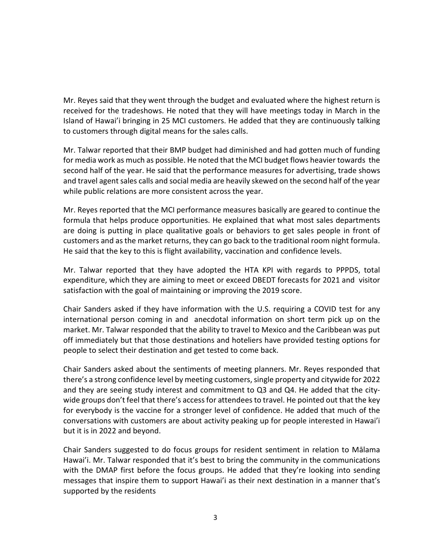Mr. Reyes said that they went through the budget and evaluated where the highest return is received for the tradeshows. He noted that they will have meetings today in March in the to customers through digital means for the sales calls. Island of Hawai'i bringing in 25 MCI customers. He added that they are continuously talking

 while public relations are more consistent across the year. Mr. Talwar reported that their BMP budget had diminished and had gotten much of funding for media work as much as possible. He noted that the MCI budget flows heavier towards the second half of the year. He said that the performance measures for advertising, trade shows and travel agent sales calls and social media are heavily skewed on the second half of the year

 Mr. Reyes reported that the MCI performance measures basically are geared to continue the are doing is putting in place qualitative goals or behaviors to get sales people in front of customers and as the market returns, they can go back to the traditional room night formula. He said that the key to this is flight availability, vaccination and confidence levels. formula that helps produce opportunities. He explained that what most sales departments

 Mr. Talwar reported that they have adopted the HTA KPI with regards to PPPDS, total expenditure, which they are aiming to meet or exceed DBEDT forecasts for 2021 and visitor satisfaction with the goal of maintaining or improving the 2019 score.

 Chair Sanders asked if they have information with the U.S. requiring a COVID test for any market. Mr. Talwar responded that the ability to travel to Mexico and the Caribbean was put people to select their destination and get tested to come back. international person coming in and anecdotal information on short term pick up on the off immediately but that those destinations and hoteliers have provided testing options for

 wide groups don't feel that there's access for attendees to travel. He pointed out that the key but it is in 2022 and beyond. Chair Sanders asked about the sentiments of meeting planners. Mr. Reyes responded that there's a strong confidence level by meeting customers, single property and citywide for 2022 and they are seeing study interest and commitment to Q3 and Q4. He added that the cityfor everybody is the vaccine for a stronger level of confidence. He added that much of the conversations with customers are about activity peaking up for people interested in Hawai'i

but it is in 2022 and beyond.<br>Chair Sanders suggested to do focus groups for resident sentiment in relation to Mālama Hawai'i. Mr. Talwar responded that it's best to bring the community in the communications with the DMAP first before the focus groups. He added that they're looking into sending messages that inspire them to support Hawai'i as their next destination in a manner that's supported by the residents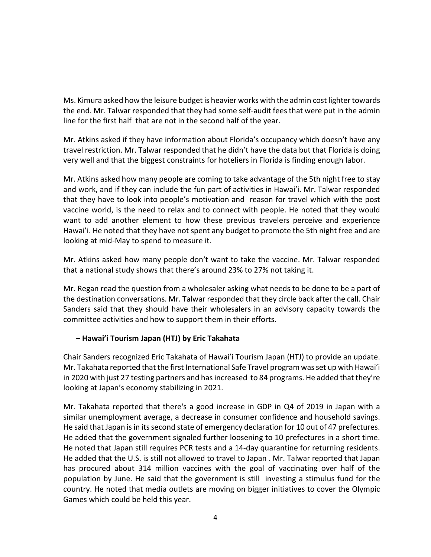the end. Mr. Talwar responded that they had some self-audit fees that were put in the admin line for the first half that are not in the second half of the year. Ms. Kimura asked how the leisure budget is heavier works with the admin cost lighter towards

 travel restriction. Mr. Talwar responded that he didn't have the data but that Florida is doing very well and that the biggest constraints for hoteliers in Florida is finding enough labor. Mr. Atkins asked if they have information about Florida's occupancy which doesn't have any

 Mr. Atkins asked how many people are coming to take advantage of the 5th night free to stay that they have to look into people's motivation and reason for travel which with the post Hawai'i. He noted that they have not spent any budget to promote the 5th night free and are and work, and if they can include the fun part of activities in Hawai'i. Mr. Talwar responded vaccine world, is the need to relax and to connect with people. He noted that they would want to add another element to how these previous travelers perceive and experience looking at mid-May to spend to measure it.

 Mr. Atkins asked how many people don't want to take the vaccine. Mr. Talwar responded that a national study shows that there's around 23% to 27% not taking it.

 Mr. Regan read the question from a wholesaler asking what needs to be done to be a part of the destination conversations. Mr. Talwar responded that they circle back after the call. Chair Sanders said that they should have their wholesalers in an advisory capacity towards the committee activities and how to support them in their efforts.

# **− Hawai'i Tourism Japan (HTJ) by Eric Takahata**

 Chair Sanders recognized Eric Takahata of Hawai'i Tourism Japan (HTJ) to provide an update. in 2020 with just 27 testing partners and has increased to 84 programs. He added that they're Mr. Takahata reported that the first International Safe Travel program was set up with Hawai'i looking at Japan's economy stabilizing in 2021.

 Mr. Takahata reported that there's a good increase in GDP in Q4 of 2019 in Japan with a He said that Japan is in its second state of emergency declaration for 10 out of 47 prefectures. He noted that Japan still requires PCR tests and a 14-day quarantine for returning residents. population by June. He said that the government is still investing a stimulus fund for the similar unemployment average, a decrease in consumer confidence and household savings. He added that the government signaled further loosening to 10 prefectures in a short time. He added that the U.S. is still not allowed to travel to Japan . Mr. Talwar reported that Japan has procured about 314 million vaccines with the goal of vaccinating over half of the country. He noted that media outlets are moving on bigger initiatives to cover the Olympic Games which could be held this year.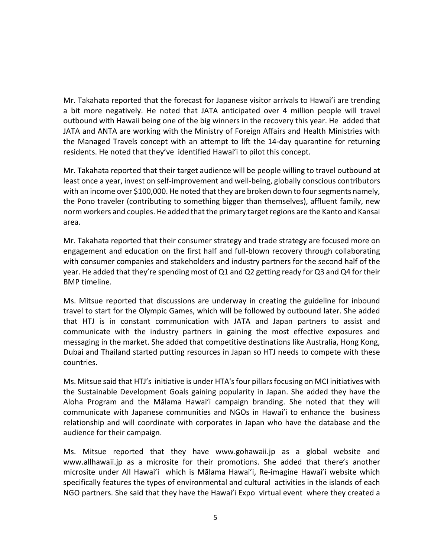Mr. Takahata reported that the forecast for Japanese visitor arrivals to Hawai'i are trending a bit more negatively. He noted that JATA anticipated over 4 million people will travel outbound with Hawaii being one of the big winners in the recovery this year. He added that JATA and ANTA are working with the Ministry of Foreign Affairs and Health Ministries with the Managed Travels concept with an attempt to lift the 14-day quarantine for returning residents. He noted that they've identified Hawai'i to pilot this concept.

 Mr. Takahata reported that their target audience will be people willing to travel outbound at with an income over \$100,000. He noted that they are broken down to four segments namely, norm workers and couples. He added that the primary target regions are the Kanto and Kansai least once a year, invest on self-improvement and well-being, globally conscious contributors the Pono traveler (contributing to something bigger than themselves), affluent family, new area.

 Mr. Takahata reported that their consumer strategy and trade strategy are focused more on with consumer companies and stakeholders and industry partners for the second half of the **BMP** timeline. engagement and education on the first half and full-blown recovery through collaborating year. He added that they're spending most of Q1 and Q2 getting ready for Q3 and Q4 for their

BMP timeline.<br>Ms. Mitsue reported that discussions are underway in creating the guideline for inbound travel to start for the Olympic Games, which will be followed by outbound later. She added that HTJ is in constant communication with JATA and Japan partners to assist and communicate with the industry partners in gaining the most effective exposures and Dubai and Thailand started putting resources in Japan so HTJ needs to compete with these messaging in the market. She added that competitive destinations like Australia, Hong Kong, countries.

 the Sustainable Development Goals gaining popularity in Japan. She added they have the Aloha Program and the Mālama Hawai'i campaign branding. She noted that they will communicate with Japanese communities and NGOs in Hawai'i to enhance the business Ms. Mitsue said that HTJ's initiative is under HTA's four pillars focusing on MCI initiatives with relationship and will coordinate with corporates in Japan who have the database and the audience for their campaign.

 microsite under All Hawai'i which is Mālama Hawai'i, Re-imagine Hawai'i website which NGO partners. She said that they have the Hawai'i Expo virtual event where they created a Ms. Mitsue reported that they have <www.gohawaii.jp> as a global website and <www.allhawaii.jp> as a microsite for their promotions. She added that there's another specifically features the types of environmental and cultural activities in the islands of each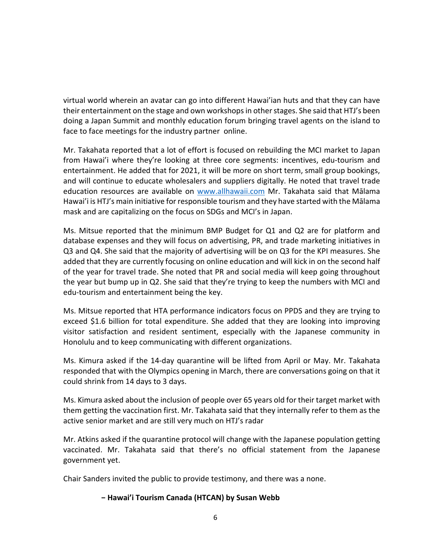virtual world wherein an avatar can go into different Hawai'ian huts and that they can have their entertainment on the stage and own workshops in other stages. She said that HTJ's been face to face meetings for the industry partner online. doing a Japan Summit and monthly education forum bringing travel agents on the island to

 from Hawai'i where they're looking at three core segments: incentives, edu-tourism and entertainment. He added that for 2021, it will be more on short term, small group bookings, mask and are capitalizing on the focus on SDGs and MCI's in Japan. Mr. Takahata reported that a lot of effort is focused on rebuilding the MCI market to Japan and will continue to educate wholesalers and suppliers digitally. He noted that travel trade education resources are available on <www.allhawaii.com> Mr. Takahata said that Mālama Hawai'i is HTJ's main initiative for responsible tourism and they have started with the Mālama

 Ms. Mitsue reported that the minimum BMP Budget for Q1 and Q2 are for platform and Q3 and Q4. She said that the majority of advertising will be on Q3 for the KPI measures. She of the year for travel trade. She noted that PR and social media will keep going throughout the year but bump up in Q2. She said that they're trying to keep the numbers with MCI and database expenses and they will focus on advertising, PR, and trade marketing initiatives in added that they are currently focusing on online education and will kick in on the second half edu-tourism and entertainment being the key.

 Ms. Mitsue reported that HTA performance indicators focus on PPDS and they are trying to exceed \$1.6 billion for total expenditure. She added that they are looking into improving visitor satisfaction and resident sentiment, especially with the Japanese community in Honolulu and to keep communicating with different organizations.

 Ms. Kimura asked if the 14-day quarantine will be lifted from April or May. Mr. Takahata could shrink from 14 days to 3 days. responded that with the Olympics opening in March, there are conversations going on that it

 Ms. Kimura asked about the inclusion of people over 65 years old for their target market with them getting the vaccination first. Mr. Takahata said that they internally refer to them as the active senior market and are still very much on HTJ's radar

 vaccinated. Mr. Takahata said that there's no official statement from the Japanese Mr. Atkins asked if the quarantine protocol will change with the Japanese population getting government yet.

Chair Sanders invited the public to provide testimony, and there was a none.

## **− Hawai'i Tourism Canada (HTCAN) by Susan Webb**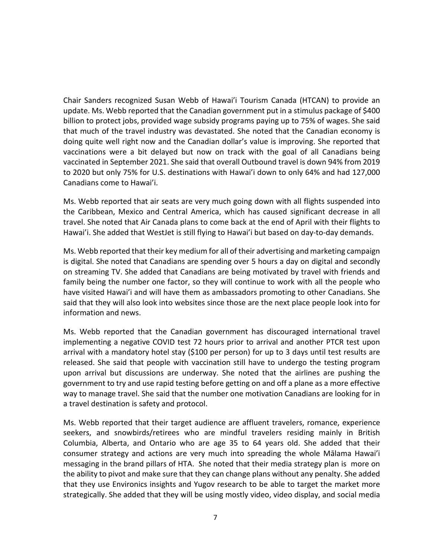billion to protect jobs, provided wage subsidy programs paying up to 75% of wages. She said that much of the travel industry was devastated. She noted that the Canadian economy is doing quite well right now and the Canadian dollar's value is improving. She reported that vaccinations were a bit delayed but now on track with the goal of all Canadians being vaccinated in September 2021. She said that overall Outbound travel is down 94% from 2019 to 2020 but only 75% for U.S. destinations with Hawai'i down to only 64% and had 127,000 Canadians come to Hawai'i. Chair Sanders recognized Susan Webb of Hawai'i Tourism Canada (HTCAN) to provide an update. Ms. Webb reported that the Canadian government put in a stimulus package of \$400

 travel. She noted that Air Canada plans to come back at the end of April with their flights to Hawai'i. She added that WestJet is still flying to Hawai'i but based on day-to-day demands. Ms. Webb reported that air seats are very much going down with all flights suspended into the Caribbean, Mexico and Central America, which has caused significant decrease in all

 family being the number one factor, so they will continue to work with all the people who have visited Hawai'i and will have them as ambassadors promoting to other Canadians. She said that they will also look into websites since those are the next place people look into for Ms. Webb reported that their key medium for all of their advertising and marketing campaign is digital. She noted that Canadians are spending over 5 hours a day on digital and secondly on streaming TV. She added that Canadians are being motivated by travel with friends and information and news.

 Ms. Webb reported that the Canadian government has discouraged international travel implementing a negative COVID test 72 hours prior to arrival and another PTCR test upon arrival with a mandatory hotel stay (\$100 per person) for up to 3 days until test results are released. She said that people with vaccination still have to undergo the testing program upon arrival but discussions are underway. She noted that the airlines are pushing the government to try and use rapid testing before getting on and off a plane as a more effective way to manage travel. She said that the number one motivation Canadians are looking for in a travel destination is safety and protocol.

 seekers, and snowbirds/retirees who are mindful travelers residing mainly in British messaging in the brand pillars of HTA. She noted that their media strategy plan is more on the ability to pivot and make sure that they can change plans without any penalty. She added that they use Environics insights and Yugov research to be able to target the market more strategically. She added that they will be using mostly video, video display, and social media Ms. Webb reported that their target audience are affluent travelers, romance, experience Columbia, Alberta, and Ontario who are age 35 to 64 years old. She added that their consumer strategy and actions are very much into spreading the whole Mālama Hawai'i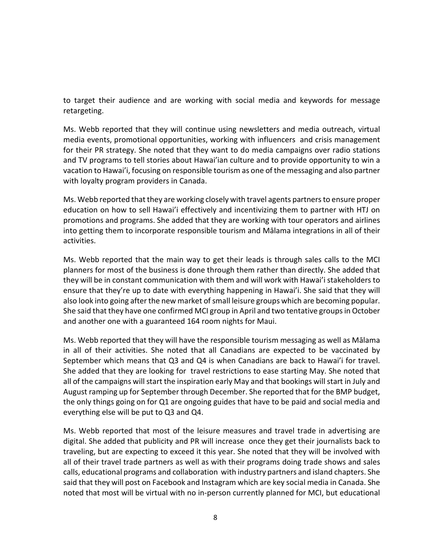to target their audience and are working with social media and keywords for message retargeting.

 for their PR strategy. She noted that they want to do media campaigns over radio stations and TV programs to tell stories about Hawai'ian culture and to provide opportunity to win a vacation to Hawai'i, focusing on responsible tourism as one of the messaging and also partner Ms. Webb reported that they will continue using newsletters and media outreach, virtual media events, promotional opportunities, working with influencers and crisis management with loyalty program providers in Canada.

 into getting them to incorporate responsible tourism and Mālama integrations in all of their Ms. Webb reported that they are working closely with travel agents partners to ensure proper education on how to sell Hawai'i effectively and incentivizing them to partner with HTJ on promotions and programs. She added that they are working with tour operators and airlines activities.

 Ms. Webb reported that the main way to get their leads is through sales calls to the MCI ensure that they're up to date with everything happening in Hawai'i. She said that they will also look into going after the new market of small leisure groups which are becoming popular. She said that they have one confirmed MCI group in April and two tentative groups in October and another one with a guaranteed 164 room nights for Maui. planners for most of the business is done through them rather than directly. She added that they will be in constant communication with them and will work with Hawai'i stakeholders to

 Ms. Webb reported that they will have the responsible tourism messaging as well as Mālama September which means that Q3 and Q4 is when Canadians are back to Hawai'i for travel. all of the campaigns will start the inspiration early May and that bookings will start in July and August ramping up for September through December. She reported that for the BMP budget, the only things going on for Q1 are ongoing guides that have to be paid and social media and in all of their activities. She noted that all Canadians are expected to be vaccinated by She added that they are looking for travel restrictions to ease starting May. She noted that everything else will be put to Q3 and Q4.

 digital. She added that publicity and PR will increase once they get their journalists back to calls, educational programs and collaboration with industry partners and island chapters. She said that they will post on Facebook and Instagram which are key social media in Canada. She noted that most will be virtual with no in-person currently planned for MCI, but educational Ms. Webb reported that most of the leisure measures and travel trade in advertising are traveling, but are expecting to exceed it this year. She noted that they will be involved with all of their travel trade partners as well as with their programs doing trade shows and sales